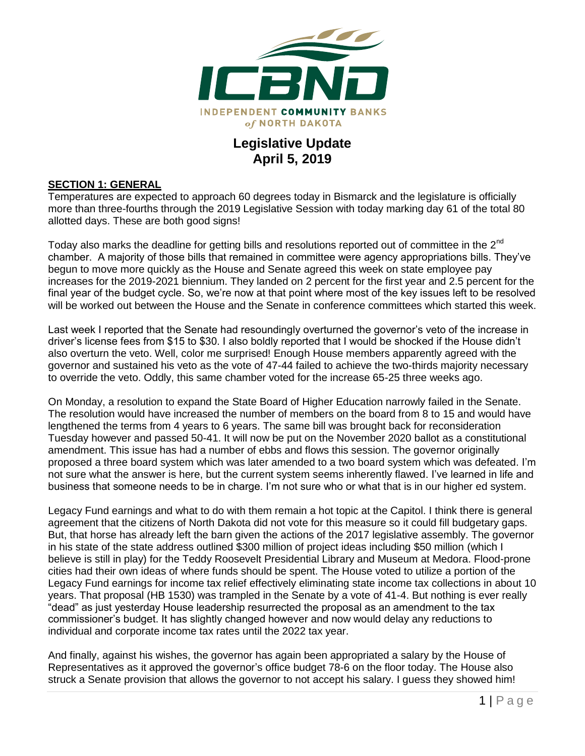

## **Legislative Update April 5, 2019**

#### **SECTION 1: GENERAL**

Temperatures are expected to approach 60 degrees today in Bismarck and the legislature is officially more than three-fourths through the 2019 Legislative Session with today marking day 61 of the total 80 allotted days. These are both good signs!

Today also marks the deadline for getting bills and resolutions reported out of committee in the 2<sup>nd</sup> chamber. A majority of those bills that remained in committee were agency appropriations bills. They've begun to move more quickly as the House and Senate agreed this week on state employee pay increases for the 2019-2021 biennium. They landed on 2 percent for the first year and 2.5 percent for the final year of the budget cycle. So, we're now at that point where most of the key issues left to be resolved will be worked out between the House and the Senate in conference committees which started this week.

Last week I reported that the Senate had resoundingly overturned the governor's veto of the increase in driver's license fees from \$15 to \$30. I also boldly reported that I would be shocked if the House didn't also overturn the veto. Well, color me surprised! Enough House members apparently agreed with the governor and sustained his veto as the vote of 47-44 failed to achieve the two-thirds majority necessary to override the veto. Oddly, this same chamber voted for the increase 65-25 three weeks ago.

On Monday, a resolution to expand the State Board of Higher Education narrowly failed in the Senate. The resolution would have increased the number of members on the board from 8 to 15 and would have lengthened the terms from 4 years to 6 years. The same bill was brought back for reconsideration Tuesday however and passed 50-41. It will now be put on the November 2020 ballot as a constitutional amendment. This issue has had a number of ebbs and flows this session. The governor originally proposed a three board system which was later amended to a two board system which was defeated. I'm not sure what the answer is here, but the current system seems inherently flawed. I've learned in life and business that someone needs to be in charge. I'm not sure who or what that is in our higher ed system.

Legacy Fund earnings and what to do with them remain a hot topic at the Capitol. I think there is general agreement that the citizens of North Dakota did not vote for this measure so it could fill budgetary gaps. But, that horse has already left the barn given the actions of the 2017 legislative assembly. The governor in his state of the state address outlined \$300 million of project ideas including \$50 million (which I believe is still in play) for the Teddy Roosevelt Presidential Library and Museum at Medora. Flood-prone cities had their own ideas of where funds should be spent. The House voted to utilize a portion of the Legacy Fund earnings for income tax relief effectively eliminating state income tax collections in about 10 years. That proposal (HB 1530) was trampled in the Senate by a vote of 41-4. But nothing is ever really "dead" as just yesterday House leadership resurrected the proposal as an amendment to the tax commissioner's budget. It has slightly changed however and now would delay any reductions to individual and corporate income tax rates until the 2022 tax year.

And finally, against his wishes, the governor has again been appropriated a salary by the House of Representatives as it approved the governor's office budget 78-6 on the floor today. The House also struck a Senate provision that allows the governor to not accept his salary. I guess they showed him!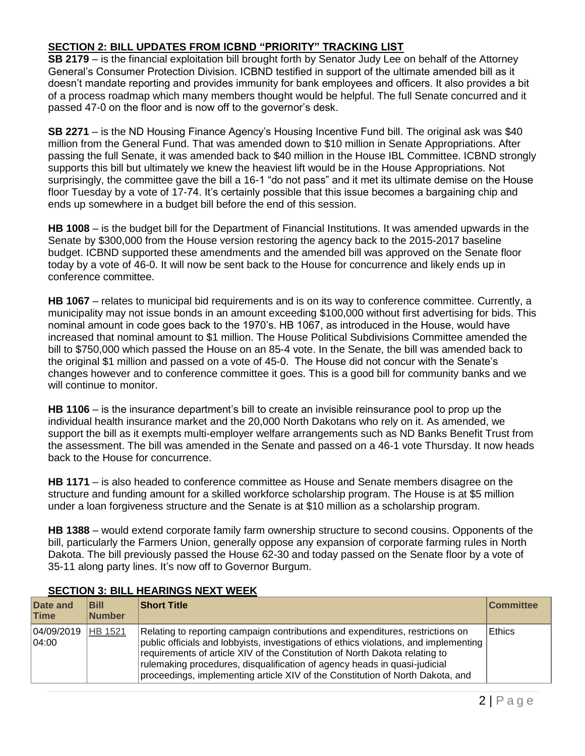### **SECTION 2: BILL UPDATES FROM ICBND "PRIORITY" TRACKING LIST**

**SB 2179** – is the financial exploitation bill brought forth by Senator Judy Lee on behalf of the Attorney General's Consumer Protection Division. ICBND testified in support of the ultimate amended bill as it doesn't mandate reporting and provides immunity for bank employees and officers. It also provides a bit of a process roadmap which many members thought would be helpful. The full Senate concurred and it passed 47-0 on the floor and is now off to the governor's desk.

**SB 2271** – is the ND Housing Finance Agency's Housing Incentive Fund bill. The original ask was \$40 million from the General Fund. That was amended down to \$10 million in Senate Appropriations. After passing the full Senate, it was amended back to \$40 million in the House IBL Committee. ICBND strongly supports this bill but ultimately we knew the heaviest lift would be in the House Appropriations. Not surprisingly, the committee gave the bill a 16-1 "do not pass" and it met its ultimate demise on the House floor Tuesday by a vote of 17-74. It's certainly possible that this issue becomes a bargaining chip and ends up somewhere in a budget bill before the end of this session.

**HB 1008** – is the budget bill for the Department of Financial Institutions. It was amended upwards in the Senate by \$300,000 from the House version restoring the agency back to the 2015-2017 baseline budget. ICBND supported these amendments and the amended bill was approved on the Senate floor today by a vote of 46-0. It will now be sent back to the House for concurrence and likely ends up in conference committee.

**HB 1067** – relates to municipal bid requirements and is on its way to conference committee. Currently, a municipality may not issue bonds in an amount exceeding \$100,000 without first advertising for bids. This nominal amount in code goes back to the 1970's. HB 1067, as introduced in the House, would have increased that nominal amount to \$1 million. The House Political Subdivisions Committee amended the bill to \$750,000 which passed the House on an 85-4 vote. In the Senate, the bill was amended back to the original \$1 million and passed on a vote of 45-0. The House did not concur with the Senate's changes however and to conference committee it goes. This is a good bill for community banks and we will continue to monitor.

**HB 1106** – is the insurance department's bill to create an invisible reinsurance pool to prop up the individual health insurance market and the 20,000 North Dakotans who rely on it. As amended, we support the bill as it exempts multi-employer welfare arrangements such as ND Banks Benefit Trust from the assessment. The bill was amended in the Senate and passed on a 46-1 vote Thursday. It now heads back to the House for concurrence.

**HB 1171** – is also headed to conference committee as House and Senate members disagree on the structure and funding amount for a skilled workforce scholarship program. The House is at \$5 million under a loan forgiveness structure and the Senate is at \$10 million as a scholarship program.

**HB 1388** – would extend corporate family farm ownership structure to second cousins. Opponents of the bill, particularly the Farmers Union, generally oppose any expansion of corporate farming rules in North Dakota. The bill previously passed the House 62-30 and today passed on the Senate floor by a vote of 35-11 along party lines. It's now off to Governor Burgum.

| Date and<br>Time     | <b>Bill</b><br><b>Number</b> | <b>Short Title</b>                                                                                                                                                                                                                                                                                                                                                                                                    | <b>Committee</b> |
|----------------------|------------------------------|-----------------------------------------------------------------------------------------------------------------------------------------------------------------------------------------------------------------------------------------------------------------------------------------------------------------------------------------------------------------------------------------------------------------------|------------------|
| 04/09/2019<br> 04:00 | HB 1521                      | Relating to reporting campaign contributions and expenditures, restrictions on<br>public officials and lobbyists, investigations of ethics violations, and implementing<br>requirements of article XIV of the Constitution of North Dakota relating to<br>rulemaking procedures, disqualification of agency heads in quasi-judicial<br>proceedings, implementing article XIV of the Constitution of North Dakota, and | <b>Ethics</b>    |

#### **SECTION 3: BILL HEARINGS NEXT WEEK**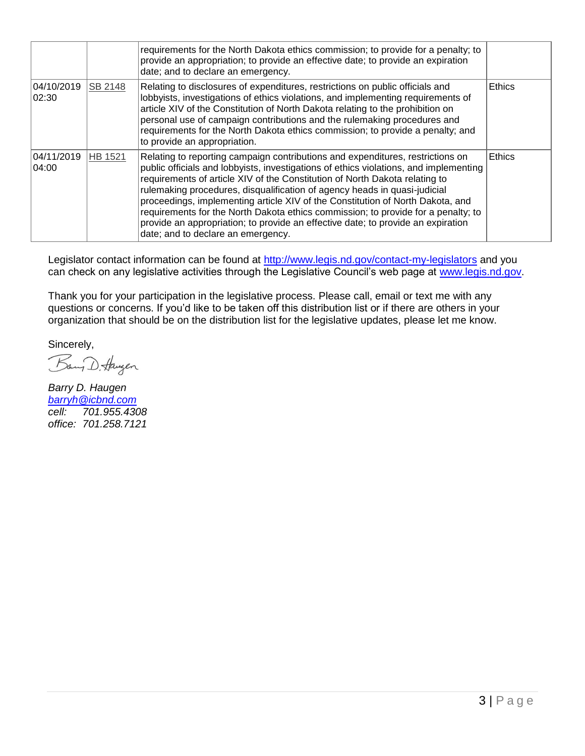|                     |                | requirements for the North Dakota ethics commission; to provide for a penalty; to<br>provide an appropriation; to provide an effective date; to provide an expiration<br>date; and to declare an emergency.                                                                                                                                                                                                                                                                                                                                                                                                                          |               |
|---------------------|----------------|--------------------------------------------------------------------------------------------------------------------------------------------------------------------------------------------------------------------------------------------------------------------------------------------------------------------------------------------------------------------------------------------------------------------------------------------------------------------------------------------------------------------------------------------------------------------------------------------------------------------------------------|---------------|
| 04/10/2019<br>02:30 | <b>SB 2148</b> | Relating to disclosures of expenditures, restrictions on public officials and<br>lobbyists, investigations of ethics violations, and implementing requirements of<br>article XIV of the Constitution of North Dakota relating to the prohibition on<br>personal use of campaign contributions and the rulemaking procedures and<br>requirements for the North Dakota ethics commission; to provide a penalty; and<br>to provide an appropriation.                                                                                                                                                                                    | <b>Ethics</b> |
| 04/11/2019<br>04:00 | HB 1521        | Relating to reporting campaign contributions and expenditures, restrictions on<br>public officials and lobbyists, investigations of ethics violations, and implementing<br>requirements of article XIV of the Constitution of North Dakota relating to<br>rulemaking procedures, disqualification of agency heads in quasi-judicial<br>proceedings, implementing article XIV of the Constitution of North Dakota, and<br>requirements for the North Dakota ethics commission; to provide for a penalty; to<br>provide an appropriation; to provide an effective date; to provide an expiration<br>date; and to declare an emergency. | <b>Ethics</b> |

Legislator contact information can be found at<http://www.legis.nd.gov/contact-my-legislators> and you can check on any legislative activities through the Legislative Council's web page at [www.legis.nd.gov.](http://www.legis.nd.gov/)

Thank you for your participation in the legislative process. Please call, email or text me with any questions or concerns. If you'd like to be taken off this distribution list or if there are others in your organization that should be on the distribution list for the legislative updates, please let me know.

Sincerely,

Bang D. Haugen

*Barry D. Haugen [barryh@icbnd.com](mailto:barryh@icbnd.com) cell: 701.955.4308 office: 701.258.7121*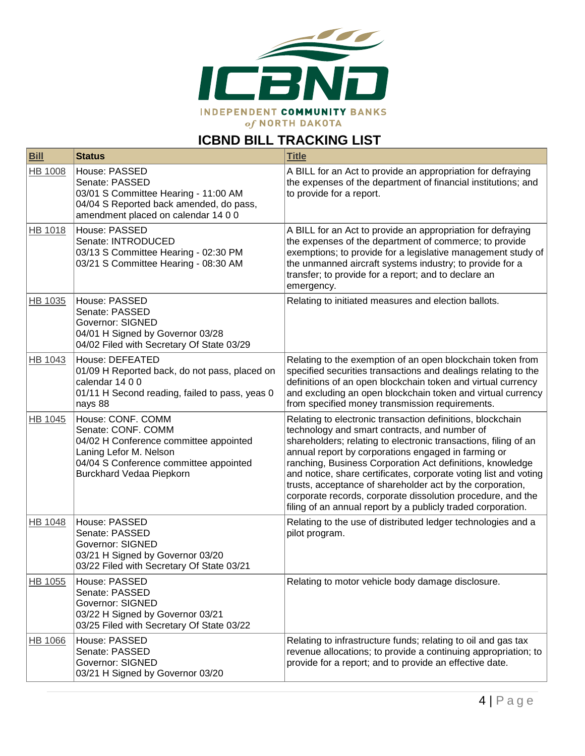

# **ICBND BILL TRACKING LIST**

| <b>Bill</b>    | <b>Status</b>                                                                                                                                                                     | <b>Title</b>                                                                                                                                                                                                                                                                                                                                                                                                                                                                                                                                                       |
|----------------|-----------------------------------------------------------------------------------------------------------------------------------------------------------------------------------|--------------------------------------------------------------------------------------------------------------------------------------------------------------------------------------------------------------------------------------------------------------------------------------------------------------------------------------------------------------------------------------------------------------------------------------------------------------------------------------------------------------------------------------------------------------------|
| <b>HB 1008</b> | House: PASSED<br>Senate: PASSED<br>03/01 S Committee Hearing - 11:00 AM<br>04/04 S Reported back amended, do pass,<br>amendment placed on calendar 14 0 0                         | A BILL for an Act to provide an appropriation for defraying<br>the expenses of the department of financial institutions; and<br>to provide for a report.                                                                                                                                                                                                                                                                                                                                                                                                           |
| HB 1018        | House: PASSED<br>Senate: INTRODUCED<br>03/13 S Committee Hearing - 02:30 PM<br>03/21 S Committee Hearing - 08:30 AM                                                               | A BILL for an Act to provide an appropriation for defraying<br>the expenses of the department of commerce; to provide<br>exemptions; to provide for a legislative management study of<br>the unmanned aircraft systems industry; to provide for a<br>transfer; to provide for a report; and to declare an<br>emergency.                                                                                                                                                                                                                                            |
| HB 1035        | House: PASSED<br>Senate: PASSED<br><b>Governor: SIGNED</b><br>04/01 H Signed by Governor 03/28<br>04/02 Filed with Secretary Of State 03/29                                       | Relating to initiated measures and election ballots.                                                                                                                                                                                                                                                                                                                                                                                                                                                                                                               |
| HB 1043        | House: DEFEATED<br>01/09 H Reported back, do not pass, placed on<br>calendar 14 0 0<br>01/11 H Second reading, failed to pass, yeas 0<br>nays 88                                  | Relating to the exemption of an open blockchain token from<br>specified securities transactions and dealings relating to the<br>definitions of an open blockchain token and virtual currency<br>and excluding an open blockchain token and virtual currency<br>from specified money transmission requirements.                                                                                                                                                                                                                                                     |
| HB 1045        | House: CONF. COMM<br>Senate: CONF. COMM<br>04/02 H Conference committee appointed<br>Laning Lefor M. Nelson<br>04/04 S Conference committee appointed<br>Burckhard Vedaa Piepkorn | Relating to electronic transaction definitions, blockchain<br>technology and smart contracts, and number of<br>shareholders; relating to electronic transactions, filing of an<br>annual report by corporations engaged in farming or<br>ranching, Business Corporation Act definitions, knowledge<br>and notice, share certificates, corporate voting list and voting<br>trusts, acceptance of shareholder act by the corporation,<br>corporate records, corporate dissolution procedure, and the<br>filing of an annual report by a publicly traded corporation. |
| <b>HB 1048</b> | House: PASSED<br>Senate: PASSED<br><b>Governor: SIGNED</b><br>03/21 H Signed by Governor 03/20<br>03/22 Filed with Secretary Of State 03/21                                       | Relating to the use of distributed ledger technologies and a<br>pilot program.                                                                                                                                                                                                                                                                                                                                                                                                                                                                                     |
| <b>HB 1055</b> | House: PASSED<br>Senate: PASSED<br><b>Governor: SIGNED</b><br>03/22 H Signed by Governor 03/21<br>03/25 Filed with Secretary Of State 03/22                                       | Relating to motor vehicle body damage disclosure.                                                                                                                                                                                                                                                                                                                                                                                                                                                                                                                  |
| HB 1066        | House: PASSED<br>Senate: PASSED<br><b>Governor: SIGNED</b><br>03/21 H Signed by Governor 03/20                                                                                    | Relating to infrastructure funds; relating to oil and gas tax<br>revenue allocations; to provide a continuing appropriation; to<br>provide for a report; and to provide an effective date.                                                                                                                                                                                                                                                                                                                                                                         |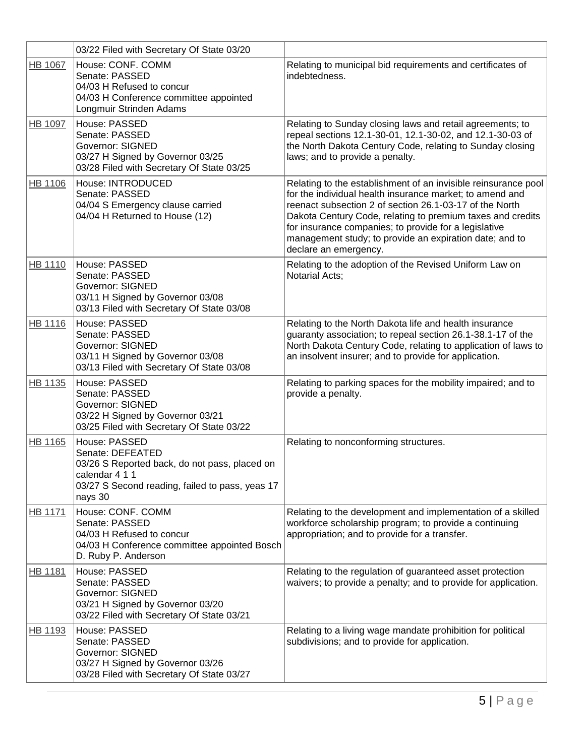|                | 03/22 Filed with Secretary Of State 03/20                                                                                                                          |                                                                                                                                                                                                                                                                                                                                                                                                  |
|----------------|--------------------------------------------------------------------------------------------------------------------------------------------------------------------|--------------------------------------------------------------------------------------------------------------------------------------------------------------------------------------------------------------------------------------------------------------------------------------------------------------------------------------------------------------------------------------------------|
| HB 1067        | House: CONF. COMM<br>Senate: PASSED<br>04/03 H Refused to concur<br>04/03 H Conference committee appointed<br>Longmuir Strinden Adams                              | Relating to municipal bid requirements and certificates of<br>indebtedness.                                                                                                                                                                                                                                                                                                                      |
| HB 1097        | House: PASSED<br>Senate: PASSED<br><b>Governor: SIGNED</b><br>03/27 H Signed by Governor 03/25<br>03/28 Filed with Secretary Of State 03/25                        | Relating to Sunday closing laws and retail agreements; to<br>repeal sections 12.1-30-01, 12.1-30-02, and 12.1-30-03 of<br>the North Dakota Century Code, relating to Sunday closing<br>laws; and to provide a penalty.                                                                                                                                                                           |
| <b>HB 1106</b> | House: INTRODUCED<br>Senate: PASSED<br>04/04 S Emergency clause carried<br>04/04 H Returned to House (12)                                                          | Relating to the establishment of an invisible reinsurance pool<br>for the individual health insurance market; to amend and<br>reenact subsection 2 of section 26.1-03-17 of the North<br>Dakota Century Code, relating to premium taxes and credits<br>for insurance companies; to provide for a legislative<br>management study; to provide an expiration date; and to<br>declare an emergency. |
| HB 1110        | House: PASSED<br>Senate: PASSED<br><b>Governor: SIGNED</b><br>03/11 H Signed by Governor 03/08<br>03/13 Filed with Secretary Of State 03/08                        | Relating to the adoption of the Revised Uniform Law on<br>Notarial Acts;                                                                                                                                                                                                                                                                                                                         |
| HB 1116        | House: PASSED<br>Senate: PASSED<br><b>Governor: SIGNED</b><br>03/11 H Signed by Governor 03/08<br>03/13 Filed with Secretary Of State 03/08                        | Relating to the North Dakota life and health insurance<br>guaranty association; to repeal section 26.1-38.1-17 of the<br>North Dakota Century Code, relating to application of laws to<br>an insolvent insurer; and to provide for application.                                                                                                                                                  |
| HB 1135        | House: PASSED<br>Senate: PASSED<br>Governor: SIGNED<br>03/22 H Signed by Governor 03/21<br>03/25 Filed with Secretary Of State 03/22                               | Relating to parking spaces for the mobility impaired; and to<br>provide a penalty.                                                                                                                                                                                                                                                                                                               |
| HB 1165        | House: PASSED<br>Senate: DEFEATED<br>03/26 S Reported back, do not pass, placed on<br>calendar 4 1 1<br>03/27 S Second reading, failed to pass, yeas 17<br>nays 30 | Relating to nonconforming structures.                                                                                                                                                                                                                                                                                                                                                            |
| <b>HB 1171</b> | House: CONF. COMM<br>Senate: PASSED<br>04/03 H Refused to concur<br>04/03 H Conference committee appointed Bosch<br>D. Ruby P. Anderson                            | Relating to the development and implementation of a skilled<br>workforce scholarship program; to provide a continuing<br>appropriation; and to provide for a transfer.                                                                                                                                                                                                                           |
| HB 1181        | House: PASSED<br>Senate: PASSED<br><b>Governor: SIGNED</b><br>03/21 H Signed by Governor 03/20<br>03/22 Filed with Secretary Of State 03/21                        | Relating to the regulation of guaranteed asset protection<br>waivers; to provide a penalty; and to provide for application.                                                                                                                                                                                                                                                                      |
| HB 1193        | House: PASSED<br>Senate: PASSED<br><b>Governor: SIGNED</b><br>03/27 H Signed by Governor 03/26<br>03/28 Filed with Secretary Of State 03/27                        | Relating to a living wage mandate prohibition for political<br>subdivisions; and to provide for application.                                                                                                                                                                                                                                                                                     |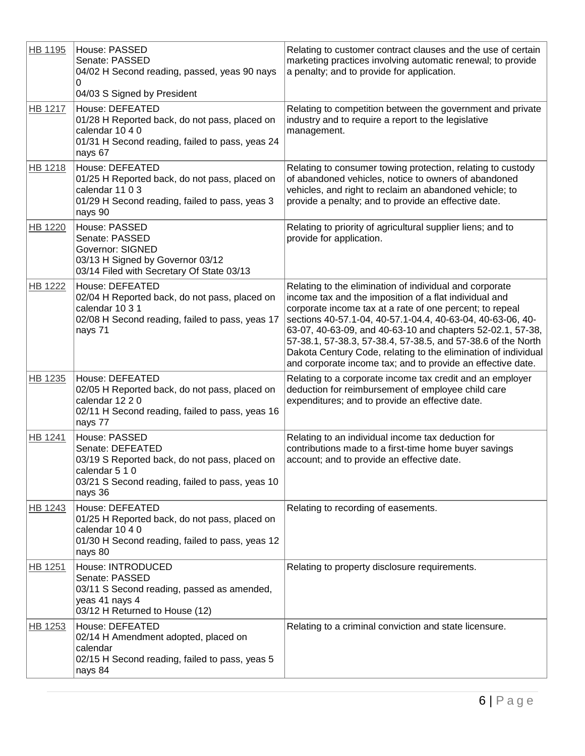| HB 1195        | House: PASSED<br>Senate: PASSED<br>04/02 H Second reading, passed, yeas 90 nays<br>0<br>04/03 S Signed by President                                                | Relating to customer contract clauses and the use of certain<br>marketing practices involving automatic renewal; to provide<br>a penalty; and to provide for application.                                                                                                                                                                                                                                                                                                                                  |
|----------------|--------------------------------------------------------------------------------------------------------------------------------------------------------------------|------------------------------------------------------------------------------------------------------------------------------------------------------------------------------------------------------------------------------------------------------------------------------------------------------------------------------------------------------------------------------------------------------------------------------------------------------------------------------------------------------------|
| <b>HB 1217</b> | House: DEFEATED<br>01/28 H Reported back, do not pass, placed on<br>calendar 10 4 0<br>01/31 H Second reading, failed to pass, yeas 24<br>nays 67                  | Relating to competition between the government and private<br>industry and to require a report to the legislative<br>management.                                                                                                                                                                                                                                                                                                                                                                           |
| HB 1218        | House: DEFEATED<br>01/25 H Reported back, do not pass, placed on<br>calendar 11 0 3<br>01/29 H Second reading, failed to pass, yeas 3<br>nays 90                   | Relating to consumer towing protection, relating to custody<br>of abandoned vehicles, notice to owners of abandoned<br>vehicles, and right to reclaim an abandoned vehicle; to<br>provide a penalty; and to provide an effective date.                                                                                                                                                                                                                                                                     |
| HB 1220        | House: PASSED<br>Senate: PASSED<br><b>Governor: SIGNED</b><br>03/13 H Signed by Governor 03/12<br>03/14 Filed with Secretary Of State 03/13                        | Relating to priority of agricultural supplier liens; and to<br>provide for application.                                                                                                                                                                                                                                                                                                                                                                                                                    |
| HB 1222        | House: DEFEATED<br>02/04 H Reported back, do not pass, placed on<br>calendar 10 3 1<br>02/08 H Second reading, failed to pass, yeas 17<br>nays 71                  | Relating to the elimination of individual and corporate<br>income tax and the imposition of a flat individual and<br>corporate income tax at a rate of one percent; to repeal<br>sections 40-57.1-04, 40-57.1-04.4, 40-63-04, 40-63-06, 40-<br>63-07, 40-63-09, and 40-63-10 and chapters 52-02.1, 57-38,<br>57-38.1, 57-38.3, 57-38.4, 57-38.5, and 57-38.6 of the North<br>Dakota Century Code, relating to the elimination of individual<br>and corporate income tax; and to provide an effective date. |
| HB 1235        | House: DEFEATED<br>02/05 H Reported back, do not pass, placed on<br>calendar 12 2 0<br>02/11 H Second reading, failed to pass, yeas 16<br>nays 77                  | Relating to a corporate income tax credit and an employer<br>deduction for reimbursement of employee child care<br>expenditures; and to provide an effective date.                                                                                                                                                                                                                                                                                                                                         |
| HB 1241        | House: PASSED<br>Senate: DEFEATED<br>03/19 S Reported back, do not pass, placed on<br>calendar 5 1 0<br>03/21 S Second reading, failed to pass, yeas 10<br>nays 36 | Relating to an individual income tax deduction for<br>contributions made to a first-time home buyer savings<br>account; and to provide an effective date.                                                                                                                                                                                                                                                                                                                                                  |
| HB 1243        | House: DEFEATED<br>01/25 H Reported back, do not pass, placed on<br>calendar 10 4 0<br>01/30 H Second reading, failed to pass, yeas 12<br>nays 80                  | Relating to recording of easements.                                                                                                                                                                                                                                                                                                                                                                                                                                                                        |
| <b>HB 1251</b> | House: INTRODUCED<br>Senate: PASSED<br>03/11 S Second reading, passed as amended,<br>yeas 41 nays 4<br>03/12 H Returned to House (12)                              | Relating to property disclosure requirements.                                                                                                                                                                                                                                                                                                                                                                                                                                                              |
| HB 1253        | House: DEFEATED<br>02/14 H Amendment adopted, placed on<br>calendar<br>02/15 H Second reading, failed to pass, yeas 5<br>nays 84                                   | Relating to a criminal conviction and state licensure.                                                                                                                                                                                                                                                                                                                                                                                                                                                     |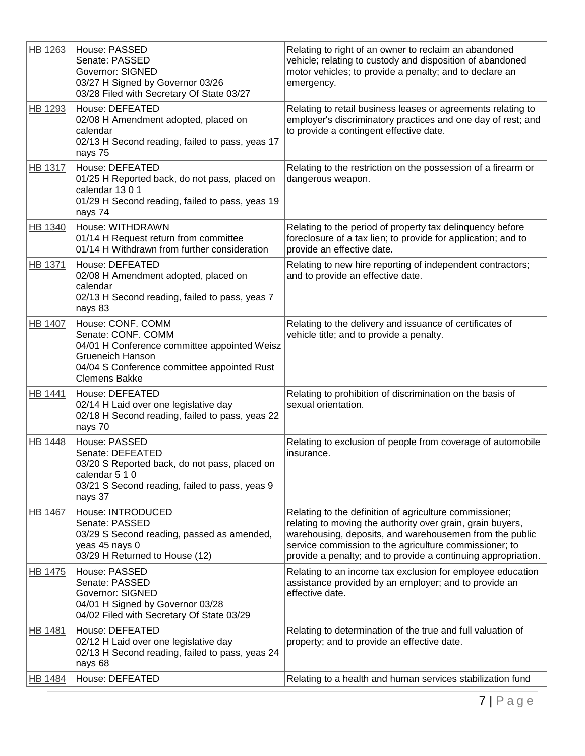| HB 1263        | House: PASSED<br>Senate: PASSED<br><b>Governor: SIGNED</b><br>03/27 H Signed by Governor 03/26<br>03/28 Filed with Secretary Of State 03/27                                               | Relating to right of an owner to reclaim an abandoned<br>vehicle; relating to custody and disposition of abandoned<br>motor vehicles; to provide a penalty; and to declare an<br>emergency.                                                                                                                 |
|----------------|-------------------------------------------------------------------------------------------------------------------------------------------------------------------------------------------|-------------------------------------------------------------------------------------------------------------------------------------------------------------------------------------------------------------------------------------------------------------------------------------------------------------|
| HB 1293        | House: DEFEATED<br>02/08 H Amendment adopted, placed on<br>calendar<br>02/13 H Second reading, failed to pass, yeas 17<br>nays 75                                                         | Relating to retail business leases or agreements relating to<br>employer's discriminatory practices and one day of rest; and<br>to provide a contingent effective date.                                                                                                                                     |
| <b>HB 1317</b> | House: DEFEATED<br>01/25 H Reported back, do not pass, placed on<br>calendar 1301<br>01/29 H Second reading, failed to pass, yeas 19<br>nays 74                                           | Relating to the restriction on the possession of a firearm or<br>dangerous weapon.                                                                                                                                                                                                                          |
| HB 1340        | House: WITHDRAWN<br>01/14 H Request return from committee<br>01/14 H Withdrawn from further consideration                                                                                 | Relating to the period of property tax delinquency before<br>foreclosure of a tax lien; to provide for application; and to<br>provide an effective date.                                                                                                                                                    |
| HB 1371        | House: DEFEATED<br>02/08 H Amendment adopted, placed on<br>calendar<br>02/13 H Second reading, failed to pass, yeas 7<br>nays 83                                                          | Relating to new hire reporting of independent contractors;<br>and to provide an effective date.                                                                                                                                                                                                             |
| HB 1407        | House: CONF. COMM<br>Senate: CONF. COMM<br>04/01 H Conference committee appointed Weisz<br><b>Grueneich Hanson</b><br>04/04 S Conference committee appointed Rust<br><b>Clemens Bakke</b> | Relating to the delivery and issuance of certificates of<br>vehicle title; and to provide a penalty.                                                                                                                                                                                                        |
| HB 1441        | House: DEFEATED<br>02/14 H Laid over one legislative day<br>02/18 H Second reading, failed to pass, yeas 22<br>nays 70                                                                    | Relating to prohibition of discrimination on the basis of<br>sexual orientation.                                                                                                                                                                                                                            |
| <b>HB 1448</b> | House: PASSED<br>Senate: DEFEATED<br>03/20 S Reported back, do not pass, placed on<br>calendar 5 1 0<br>03/21 S Second reading, failed to pass, yeas 9<br>nays 37                         | Relating to exclusion of people from coverage of automobile<br>insurance.                                                                                                                                                                                                                                   |
| HB 1467        | House: INTRODUCED<br>Senate: PASSED<br>03/29 S Second reading, passed as amended,<br>yeas 45 nays 0<br>03/29 H Returned to House (12)                                                     | Relating to the definition of agriculture commissioner;<br>relating to moving the authority over grain, grain buyers,<br>warehousing, deposits, and warehousemen from the public<br>service commission to the agriculture commissioner; to<br>provide a penalty; and to provide a continuing appropriation. |
| HB 1475        | House: PASSED<br>Senate: PASSED<br><b>Governor: SIGNED</b><br>04/01 H Signed by Governor 03/28<br>04/02 Filed with Secretary Of State 03/29                                               | Relating to an income tax exclusion for employee education<br>assistance provided by an employer; and to provide an<br>effective date.                                                                                                                                                                      |
| <b>HB 1481</b> | House: DEFEATED<br>02/12 H Laid over one legislative day<br>02/13 H Second reading, failed to pass, yeas 24<br>nays 68                                                                    | Relating to determination of the true and full valuation of<br>property; and to provide an effective date.                                                                                                                                                                                                  |
| HB 1484        | House: DEFEATED                                                                                                                                                                           | Relating to a health and human services stabilization fund                                                                                                                                                                                                                                                  |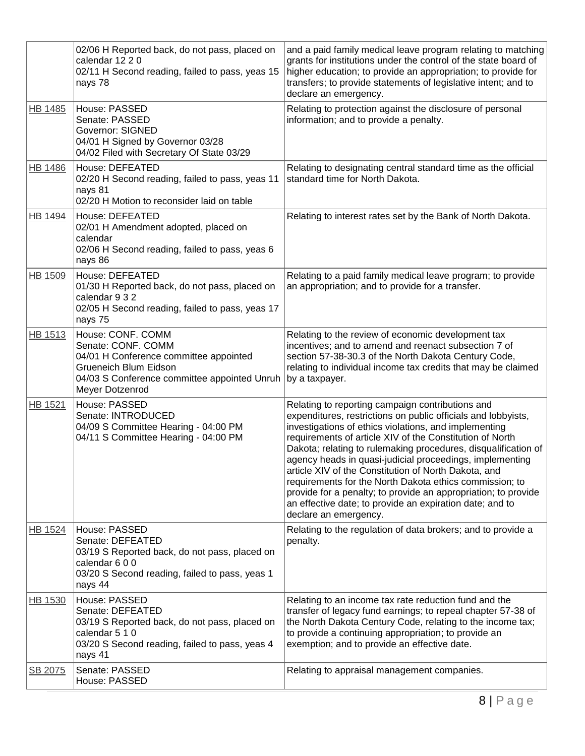|                | 02/06 H Reported back, do not pass, placed on<br>calendar 12 2 0<br>02/11 H Second reading, failed to pass, yeas 15<br>nays 78                                                       | and a paid family medical leave program relating to matching<br>grants for institutions under the control of the state board of<br>higher education; to provide an appropriation; to provide for<br>transfers; to provide statements of legislative intent; and to<br>declare an emergency.                                                                                                                                                                                                                                                                                                                                                    |
|----------------|--------------------------------------------------------------------------------------------------------------------------------------------------------------------------------------|------------------------------------------------------------------------------------------------------------------------------------------------------------------------------------------------------------------------------------------------------------------------------------------------------------------------------------------------------------------------------------------------------------------------------------------------------------------------------------------------------------------------------------------------------------------------------------------------------------------------------------------------|
| HB 1485        | House: PASSED<br>Senate: PASSED<br>Governor: SIGNED<br>04/01 H Signed by Governor 03/28<br>04/02 Filed with Secretary Of State 03/29                                                 | Relating to protection against the disclosure of personal<br>information; and to provide a penalty.                                                                                                                                                                                                                                                                                                                                                                                                                                                                                                                                            |
| HB 1486        | House: DEFEATED<br>02/20 H Second reading, failed to pass, yeas 11<br>nays 81<br>02/20 H Motion to reconsider laid on table                                                          | Relating to designating central standard time as the official<br>standard time for North Dakota.                                                                                                                                                                                                                                                                                                                                                                                                                                                                                                                                               |
| <b>HB 1494</b> | House: DEFEATED<br>02/01 H Amendment adopted, placed on<br>calendar<br>02/06 H Second reading, failed to pass, yeas 6<br>nays 86                                                     | Relating to interest rates set by the Bank of North Dakota.                                                                                                                                                                                                                                                                                                                                                                                                                                                                                                                                                                                    |
| HB 1509        | House: DEFEATED<br>01/30 H Reported back, do not pass, placed on<br>calendar 9 3 2<br>02/05 H Second reading, failed to pass, yeas 17<br>nays 75                                     | Relating to a paid family medical leave program; to provide<br>an appropriation; and to provide for a transfer.                                                                                                                                                                                                                                                                                                                                                                                                                                                                                                                                |
| HB 1513        | House: CONF. COMM<br>Senate: CONF. COMM<br>04/01 H Conference committee appointed<br><b>Grueneich Blum Eidson</b><br>04/03 S Conference committee appointed Unruh<br>Meyer Dotzenrod | Relating to the review of economic development tax<br>incentives; and to amend and reenact subsection 7 of<br>section 57-38-30.3 of the North Dakota Century Code,<br>relating to individual income tax credits that may be claimed<br>by a taxpayer.                                                                                                                                                                                                                                                                                                                                                                                          |
| HB 1521        | House: PASSED<br>Senate: INTRODUCED<br>04/09 S Committee Hearing - 04:00 PM<br>04/11 S Committee Hearing - 04:00 PM                                                                  | Relating to reporting campaign contributions and<br>expenditures, restrictions on public officials and lobbyists,<br>investigations of ethics violations, and implementing<br>requirements of article XIV of the Constitution of North<br>Dakota; relating to rulemaking procedures, disqualification of<br>agency heads in quasi-judicial proceedings, implementing<br>article XIV of the Constitution of North Dakota, and<br>requirements for the North Dakota ethics commission; to<br>provide for a penalty; to provide an appropriation; to provide<br>an effective date; to provide an expiration date; and to<br>declare an emergency. |
| HB 1524        | House: PASSED<br>Senate: DEFEATED<br>03/19 S Reported back, do not pass, placed on<br>calendar 600<br>03/20 S Second reading, failed to pass, yeas 1<br>nays 44                      | Relating to the regulation of data brokers; and to provide a<br>penalty.                                                                                                                                                                                                                                                                                                                                                                                                                                                                                                                                                                       |
| HB 1530        | House: PASSED<br>Senate: DEFEATED<br>03/19 S Reported back, do not pass, placed on<br>calendar 5 1 0<br>03/20 S Second reading, failed to pass, yeas 4<br>nays 41                    | Relating to an income tax rate reduction fund and the<br>transfer of legacy fund earnings; to repeal chapter 57-38 of<br>the North Dakota Century Code, relating to the income tax;<br>to provide a continuing appropriation; to provide an<br>exemption; and to provide an effective date.                                                                                                                                                                                                                                                                                                                                                    |
| SB 2075        | Senate: PASSED<br>House: PASSED                                                                                                                                                      | Relating to appraisal management companies.                                                                                                                                                                                                                                                                                                                                                                                                                                                                                                                                                                                                    |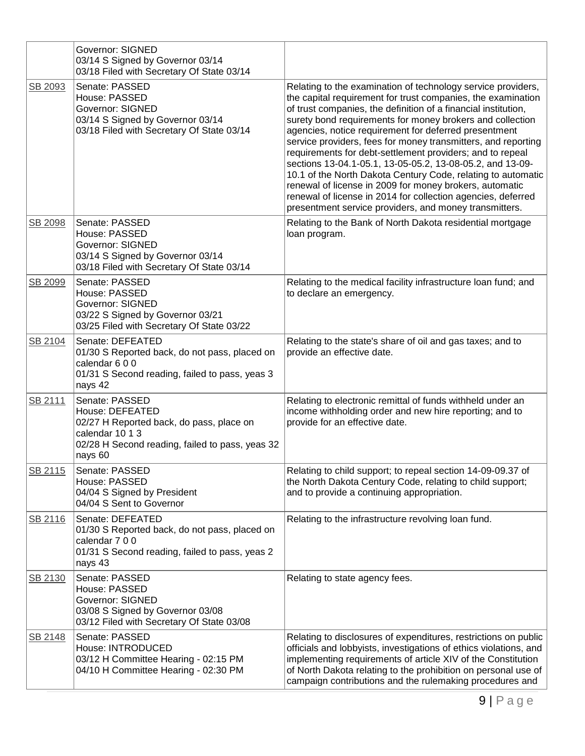|         | Governor: SIGNED<br>03/14 S Signed by Governor 03/14<br>03/18 Filed with Secretary Of State 03/14                                                              |                                                                                                                                                                                                                                                                                                                                                                                                                                                                                                                                                                                                                                                                                                                                                                      |
|---------|----------------------------------------------------------------------------------------------------------------------------------------------------------------|----------------------------------------------------------------------------------------------------------------------------------------------------------------------------------------------------------------------------------------------------------------------------------------------------------------------------------------------------------------------------------------------------------------------------------------------------------------------------------------------------------------------------------------------------------------------------------------------------------------------------------------------------------------------------------------------------------------------------------------------------------------------|
| SB 2093 | Senate: PASSED<br>House: PASSED<br><b>Governor: SIGNED</b><br>03/14 S Signed by Governor 03/14<br>03/18 Filed with Secretary Of State 03/14                    | Relating to the examination of technology service providers,<br>the capital requirement for trust companies, the examination<br>of trust companies, the definition of a financial institution,<br>surety bond requirements for money brokers and collection<br>agencies, notice requirement for deferred presentment<br>service providers, fees for money transmitters, and reporting<br>requirements for debt-settlement providers; and to repeal<br>sections 13-04.1-05.1, 13-05-05.2, 13-08-05.2, and 13-09-<br>10.1 of the North Dakota Century Code, relating to automatic<br>renewal of license in 2009 for money brokers, automatic<br>renewal of license in 2014 for collection agencies, deferred<br>presentment service providers, and money transmitters. |
| SB 2098 | Senate: PASSED<br>House: PASSED<br><b>Governor: SIGNED</b><br>03/14 S Signed by Governor 03/14<br>03/18 Filed with Secretary Of State 03/14                    | Relating to the Bank of North Dakota residential mortgage<br>loan program.                                                                                                                                                                                                                                                                                                                                                                                                                                                                                                                                                                                                                                                                                           |
| SB 2099 | Senate: PASSED<br>House: PASSED<br><b>Governor: SIGNED</b><br>03/22 S Signed by Governor 03/21<br>03/25 Filed with Secretary Of State 03/22                    | Relating to the medical facility infrastructure loan fund; and<br>to declare an emergency.                                                                                                                                                                                                                                                                                                                                                                                                                                                                                                                                                                                                                                                                           |
| SB 2104 | Senate: DEFEATED<br>01/30 S Reported back, do not pass, placed on<br>calendar 600<br>01/31 S Second reading, failed to pass, yeas 3<br>nays 42                 | Relating to the state's share of oil and gas taxes; and to<br>provide an effective date.                                                                                                                                                                                                                                                                                                                                                                                                                                                                                                                                                                                                                                                                             |
| SB 2111 | Senate: PASSED<br>House: DEFEATED<br>02/27 H Reported back, do pass, place on<br>calendar 10 1 3<br>02/28 H Second reading, failed to pass, yeas 32<br>nays 60 | Relating to electronic remittal of funds withheld under an<br>income withholding order and new hire reporting; and to<br>provide for an effective date.                                                                                                                                                                                                                                                                                                                                                                                                                                                                                                                                                                                                              |
| SB 2115 | Senate: PASSED<br>House: PASSED<br>04/04 S Signed by President<br>04/04 S Sent to Governor                                                                     | Relating to child support; to repeal section 14-09-09.37 of<br>the North Dakota Century Code, relating to child support;<br>and to provide a continuing appropriation.                                                                                                                                                                                                                                                                                                                                                                                                                                                                                                                                                                                               |
| SB 2116 | Senate: DEFEATED<br>01/30 S Reported back, do not pass, placed on<br>calendar 7 0 0<br>01/31 S Second reading, failed to pass, yeas 2<br>nays 43               | Relating to the infrastructure revolving loan fund.                                                                                                                                                                                                                                                                                                                                                                                                                                                                                                                                                                                                                                                                                                                  |
| SB 2130 | Senate: PASSED<br>House: PASSED<br><b>Governor: SIGNED</b><br>03/08 S Signed by Governor 03/08<br>03/12 Filed with Secretary Of State 03/08                    | Relating to state agency fees.                                                                                                                                                                                                                                                                                                                                                                                                                                                                                                                                                                                                                                                                                                                                       |
| SB 2148 | Senate: PASSED<br>House: INTRODUCED<br>03/12 H Committee Hearing - 02:15 PM<br>04/10 H Committee Hearing - 02:30 PM                                            | Relating to disclosures of expenditures, restrictions on public<br>officials and lobbyists, investigations of ethics violations, and<br>implementing requirements of article XIV of the Constitution<br>of North Dakota relating to the prohibition on personal use of<br>campaign contributions and the rulemaking procedures and                                                                                                                                                                                                                                                                                                                                                                                                                                   |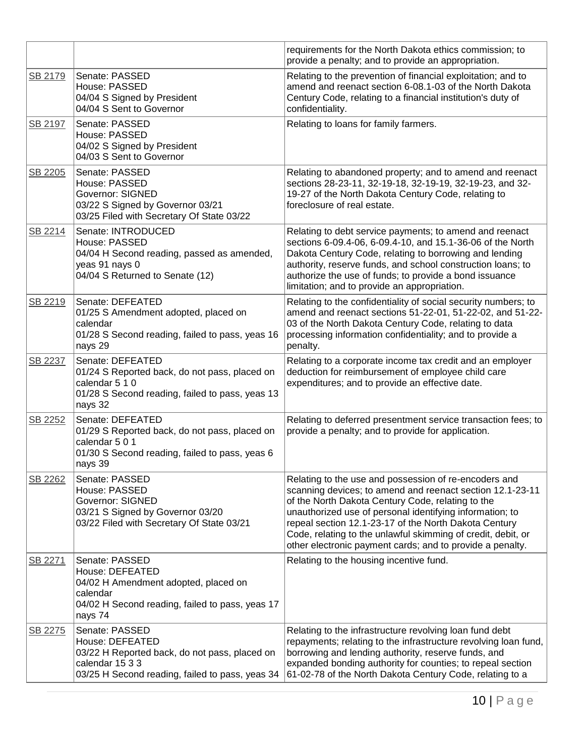|         |                                                                                                                                                          | requirements for the North Dakota ethics commission; to<br>provide a penalty; and to provide an appropriation.                                                                                                                                                                                                                                                                                                            |
|---------|----------------------------------------------------------------------------------------------------------------------------------------------------------|---------------------------------------------------------------------------------------------------------------------------------------------------------------------------------------------------------------------------------------------------------------------------------------------------------------------------------------------------------------------------------------------------------------------------|
| SB 2179 | Senate: PASSED<br>House: PASSED<br>04/04 S Signed by President<br>04/04 S Sent to Governor                                                               | Relating to the prevention of financial exploitation; and to<br>amend and reenact section 6-08.1-03 of the North Dakota<br>Century Code, relating to a financial institution's duty of<br>confidentiality.                                                                                                                                                                                                                |
| SB 2197 | Senate: PASSED<br>House: PASSED<br>04/02 S Signed by President<br>04/03 S Sent to Governor                                                               | Relating to loans for family farmers.                                                                                                                                                                                                                                                                                                                                                                                     |
| SB 2205 | Senate: PASSED<br>House: PASSED<br><b>Governor: SIGNED</b><br>03/22 S Signed by Governor 03/21<br>03/25 Filed with Secretary Of State 03/22              | Relating to abandoned property; and to amend and reenact<br>sections 28-23-11, 32-19-18, 32-19-19, 32-19-23, and 32-<br>19-27 of the North Dakota Century Code, relating to<br>foreclosure of real estate.                                                                                                                                                                                                                |
| SB 2214 | Senate: INTRODUCED<br>House: PASSED<br>04/04 H Second reading, passed as amended,<br>yeas 91 nays 0<br>04/04 S Returned to Senate (12)                   | Relating to debt service payments; to amend and reenact<br>sections 6-09.4-06, 6-09.4-10, and 15.1-36-06 of the North<br>Dakota Century Code, relating to borrowing and lending<br>authority, reserve funds, and school construction loans; to<br>authorize the use of funds; to provide a bond issuance<br>limitation; and to provide an appropriation.                                                                  |
| SB 2219 | Senate: DEFEATED<br>01/25 S Amendment adopted, placed on<br>calendar<br>01/28 S Second reading, failed to pass, yeas 16<br>nays 29                       | Relating to the confidentiality of social security numbers; to<br>amend and reenact sections 51-22-01, 51-22-02, and 51-22-<br>03 of the North Dakota Century Code, relating to data<br>processing information confidentiality; and to provide a<br>penalty.                                                                                                                                                              |
| SB 2237 | Senate: DEFEATED<br>01/24 S Reported back, do not pass, placed on<br>calendar 5 1 0<br>01/28 S Second reading, failed to pass, yeas 13<br>nays 32        | Relating to a corporate income tax credit and an employer<br>deduction for reimbursement of employee child care<br>expenditures; and to provide an effective date.                                                                                                                                                                                                                                                        |
| SB 2252 | Senate: DEFEATED<br>01/29 S Reported back, do not pass, placed on<br>calendar 5 0 1<br>01/30 S Second reading, failed to pass, yeas 6<br>nays 39         | Relating to deferred presentment service transaction fees; to<br>provide a penalty; and to provide for application.                                                                                                                                                                                                                                                                                                       |
| SB 2262 | Senate: PASSED<br>House: PASSED<br><b>Governor: SIGNED</b><br>03/21 S Signed by Governor 03/20<br>03/22 Filed with Secretary Of State 03/21              | Relating to the use and possession of re-encoders and<br>scanning devices; to amend and reenact section 12.1-23-11<br>of the North Dakota Century Code, relating to the<br>unauthorized use of personal identifying information; to<br>repeal section 12.1-23-17 of the North Dakota Century<br>Code, relating to the unlawful skimming of credit, debit, or<br>other electronic payment cards; and to provide a penalty. |
| SB 2271 | Senate: PASSED<br>House: DEFEATED<br>04/02 H Amendment adopted, placed on<br>calendar<br>04/02 H Second reading, failed to pass, yeas 17<br>nays 74      | Relating to the housing incentive fund.                                                                                                                                                                                                                                                                                                                                                                                   |
| SB 2275 | Senate: PASSED<br>House: DEFEATED<br>03/22 H Reported back, do not pass, placed on<br>calendar 15 3 3<br>03/25 H Second reading, failed to pass, yeas 34 | Relating to the infrastructure revolving loan fund debt<br>repayments; relating to the infrastructure revolving loan fund,<br>borrowing and lending authority, reserve funds, and<br>expanded bonding authority for counties; to repeal section<br>61-02-78 of the North Dakota Century Code, relating to a                                                                                                               |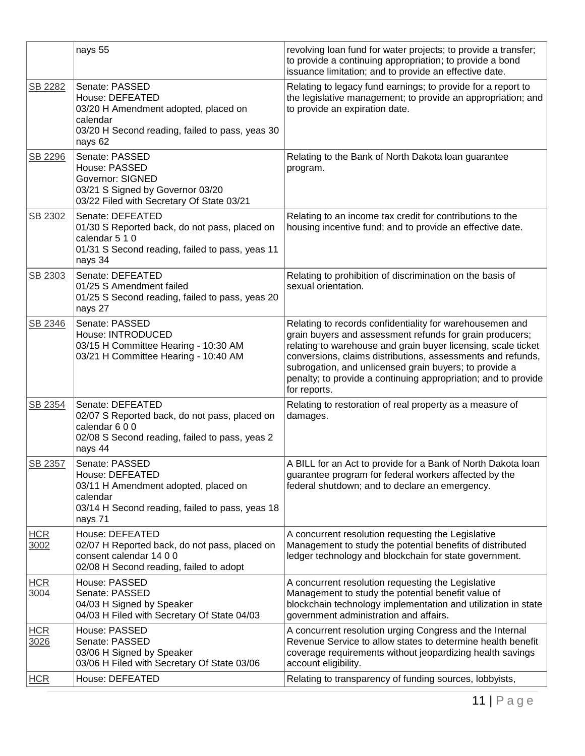|                    | nays 55                                                                                                                                             | revolving loan fund for water projects; to provide a transfer;<br>to provide a continuing appropriation; to provide a bond<br>issuance limitation; and to provide an effective date.                                                                                                                                                                                                             |
|--------------------|-----------------------------------------------------------------------------------------------------------------------------------------------------|--------------------------------------------------------------------------------------------------------------------------------------------------------------------------------------------------------------------------------------------------------------------------------------------------------------------------------------------------------------------------------------------------|
| SB 2282            | Senate: PASSED<br>House: DEFEATED<br>03/20 H Amendment adopted, placed on<br>calendar<br>03/20 H Second reading, failed to pass, yeas 30<br>nays 62 | Relating to legacy fund earnings; to provide for a report to<br>the legislative management; to provide an appropriation; and<br>to provide an expiration date.                                                                                                                                                                                                                                   |
| SB 2296            | Senate: PASSED<br>House: PASSED<br><b>Governor: SIGNED</b><br>03/21 S Signed by Governor 03/20<br>03/22 Filed with Secretary Of State 03/21         | Relating to the Bank of North Dakota loan guarantee<br>program.                                                                                                                                                                                                                                                                                                                                  |
| SB 2302            | Senate: DEFEATED<br>01/30 S Reported back, do not pass, placed on<br>calendar 5 1 0<br>01/31 S Second reading, failed to pass, yeas 11<br>nays 34   | Relating to an income tax credit for contributions to the<br>housing incentive fund; and to provide an effective date.                                                                                                                                                                                                                                                                           |
| SB 2303            | Senate: DEFEATED<br>01/25 S Amendment failed<br>01/25 S Second reading, failed to pass, yeas 20<br>nays 27                                          | Relating to prohibition of discrimination on the basis of<br>sexual orientation.                                                                                                                                                                                                                                                                                                                 |
| SB 2346            | Senate: PASSED<br>House: INTRODUCED<br>03/15 H Committee Hearing - 10:30 AM<br>03/21 H Committee Hearing - 10:40 AM                                 | Relating to records confidentiality for warehousemen and<br>grain buyers and assessment refunds for grain producers;<br>relating to warehouse and grain buyer licensing, scale ticket<br>conversions, claims distributions, assessments and refunds,<br>subrogation, and unlicensed grain buyers; to provide a<br>penalty; to provide a continuing appropriation; and to provide<br>for reports. |
| SB 2354            | Senate: DEFEATED<br>02/07 S Reported back, do not pass, placed on<br>calendar 600<br>02/08 S Second reading, failed to pass, yeas 2<br>nays 44      | Relating to restoration of real property as a measure of<br>damages.                                                                                                                                                                                                                                                                                                                             |
| SB 2357            | Senate: PASSED<br>House: DEFEATED<br>03/11 H Amendment adopted, placed on<br>calendar<br>03/14 H Second reading, failed to pass, yeas 18<br>nays 71 | A BILL for an Act to provide for a Bank of North Dakota loan<br>guarantee program for federal workers affected by the<br>federal shutdown; and to declare an emergency.                                                                                                                                                                                                                          |
| <b>HCR</b><br>3002 | House: DEFEATED<br>02/07 H Reported back, do not pass, placed on<br>consent calendar 14 0 0<br>02/08 H Second reading, failed to adopt              | A concurrent resolution requesting the Legislative<br>Management to study the potential benefits of distributed<br>ledger technology and blockchain for state government.                                                                                                                                                                                                                        |
| <b>HCR</b><br>3004 | House: PASSED<br>Senate: PASSED<br>04/03 H Signed by Speaker<br>04/03 H Filed with Secretary Of State 04/03                                         | A concurrent resolution requesting the Legislative<br>Management to study the potential benefit value of<br>blockchain technology implementation and utilization in state<br>government administration and affairs.                                                                                                                                                                              |
| <b>HCR</b><br>3026 | House: PASSED<br>Senate: PASSED<br>03/06 H Signed by Speaker<br>03/06 H Filed with Secretary Of State 03/06                                         | A concurrent resolution urging Congress and the Internal<br>Revenue Service to allow states to determine health benefit<br>coverage requirements without jeopardizing health savings<br>account eligibility.                                                                                                                                                                                     |
| <b>HCR</b>         | House: DEFEATED                                                                                                                                     | Relating to transparency of funding sources, lobbyists,                                                                                                                                                                                                                                                                                                                                          |